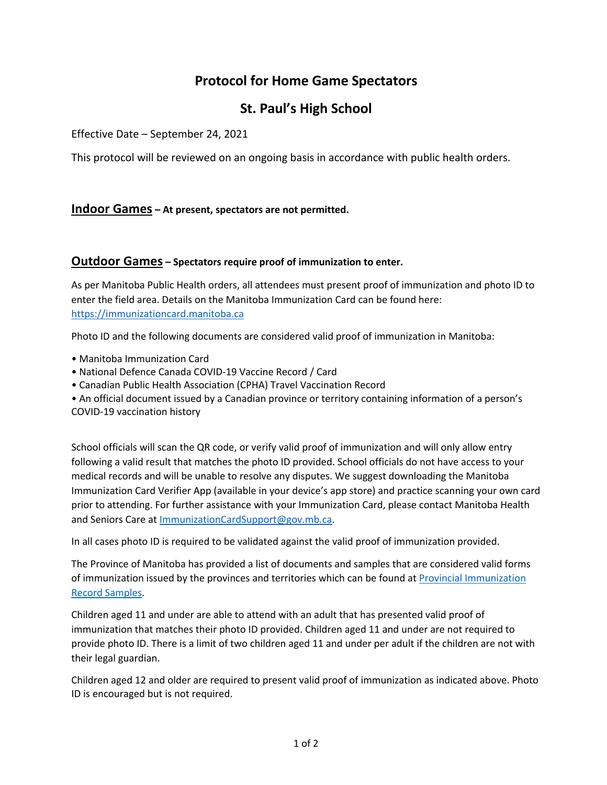# **Protocol for Home Game Spectators**

## **St. Paul's High School**

Effective Date – September 24, 2021

This protocol will be reviewed on an ongoing basis in accordance with public health orders.

### **Indoor Games – At present, spectators are not permitted.**

### **Outdoor Games – Spectators require proof of immunization to enter.**

As per Manitoba Public Health orders, all attendees must present proof of immunization and photo ID to enter the field area. Details on the Manitoba Immunization Card can be found here: <https://immunizationcard.manitoba.ca>

Photo ID and the following documents are considered valid proof of immunization in Manitoba:

- Manitoba Immunization Card
- National Defence Canada COVID-19 Vaccine Record / Card
- Canadian Public Health Association (CPHA) Travel Vaccination Record
- An official document issued by a Canadian province or territory containing information of a person's COVID-19 vaccination history

School officials will scan the QR code, or verify valid proof of immunization and will only allow entry following a valid result that matches the photo ID provided. School officials do not have access to your medical records and will be unable to resolve any disputes. We suggest downloading the Manitoba Immunization Card Verifier App (available in your device's app store) and practice scanning your own card prior to attending. For further assistance with your Immunization Card, please contact Manitoba Health and Seniors Care at [ImmunizationCardSupport@gov.mb.ca.](mailto:ImmunizationCardSupport@gov.mb.ca)

In all cases photo ID is required to be validated against the valid proof of immunization provided.

The Province of Manitoba has provided a list of documents and samples that are considered valid forms of immunization issued by the provinces and territories which can be found at [Provincial Immunization](https://manitoba.ca/asset_library/en/covidvaccine/covid19-immunization-record-samples.pdf)  [Record Samples.](https://manitoba.ca/asset_library/en/covidvaccine/covid19-immunization-record-samples.pdf)

Children aged 11 and under are able to attend with an adult that has presented valid proof of immunization that matches their photo ID provided. Children aged 11 and under are not required to provide photo ID. There is a limit of two children aged 11 and under per adult if the children are not with their legal guardian.

Children aged 12 and older are required to present valid proof of immunization as indicated above. Photo ID is encouraged but is not required.